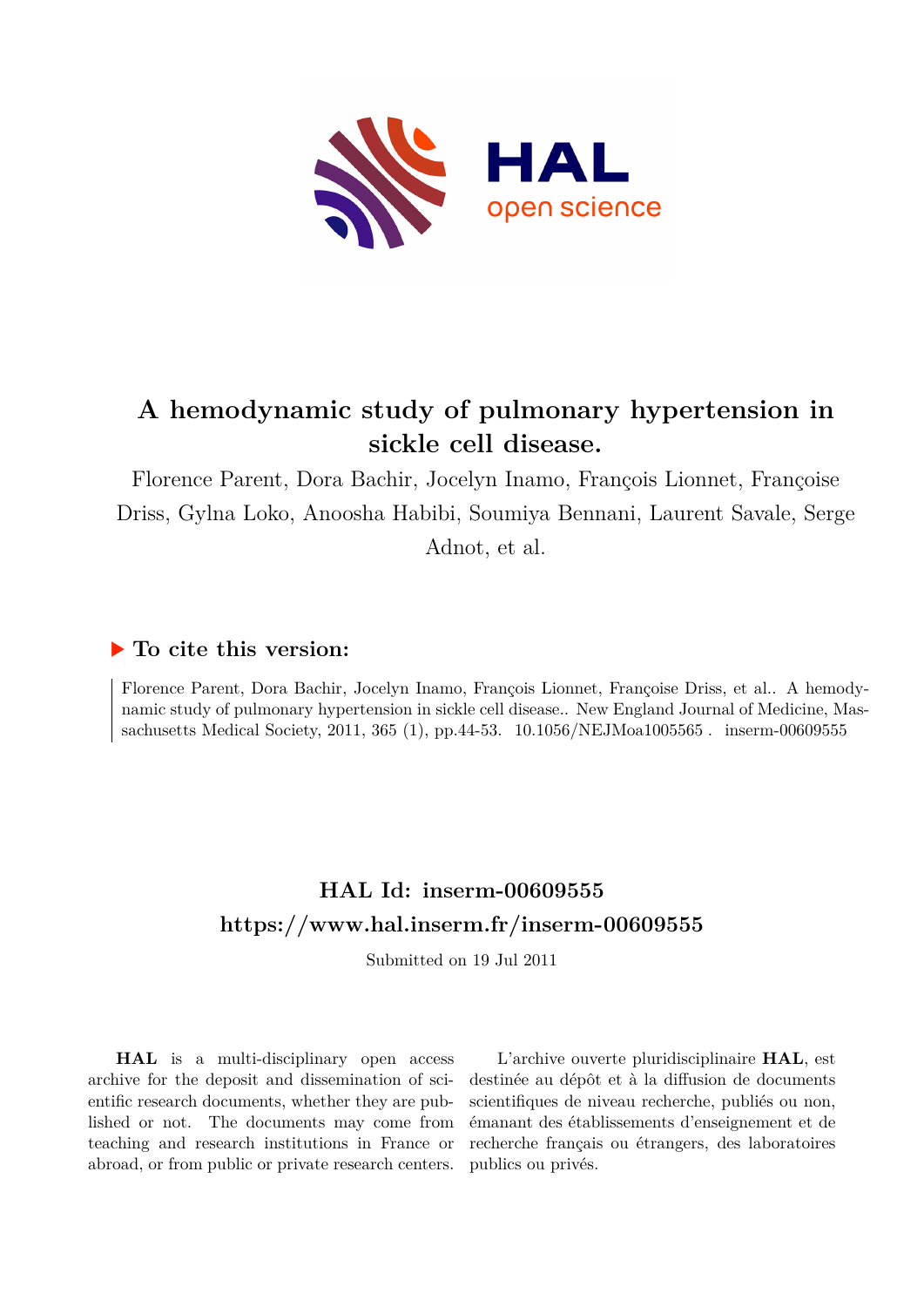

# **A hemodynamic study of pulmonary hypertension in sickle cell disease.**

Florence Parent, Dora Bachir, Jocelyn Inamo, François Lionnet, Françoise Driss, Gylna Loko, Anoosha Habibi, Soumiya Bennani, Laurent Savale, Serge Adnot, et al.

## **To cite this version:**

Florence Parent, Dora Bachir, Jocelyn Inamo, François Lionnet, Françoise Driss, et al.. A hemodynamic study of pulmonary hypertension in sickle cell disease.. New England Journal of Medicine, Massachusetts Medical Society, 2011, 365 (1), pp.44-53.  $10.1056/NEJM$ oa1005565. inserm-00609555

## **HAL Id: inserm-00609555 <https://www.hal.inserm.fr/inserm-00609555>**

Submitted on 19 Jul 2011

**HAL** is a multi-disciplinary open access archive for the deposit and dissemination of scientific research documents, whether they are published or not. The documents may come from teaching and research institutions in France or abroad, or from public or private research centers.

L'archive ouverte pluridisciplinaire **HAL**, est destinée au dépôt et à la diffusion de documents scientifiques de niveau recherche, publiés ou non, émanant des établissements d'enseignement et de recherche français ou étrangers, des laboratoires publics ou privés.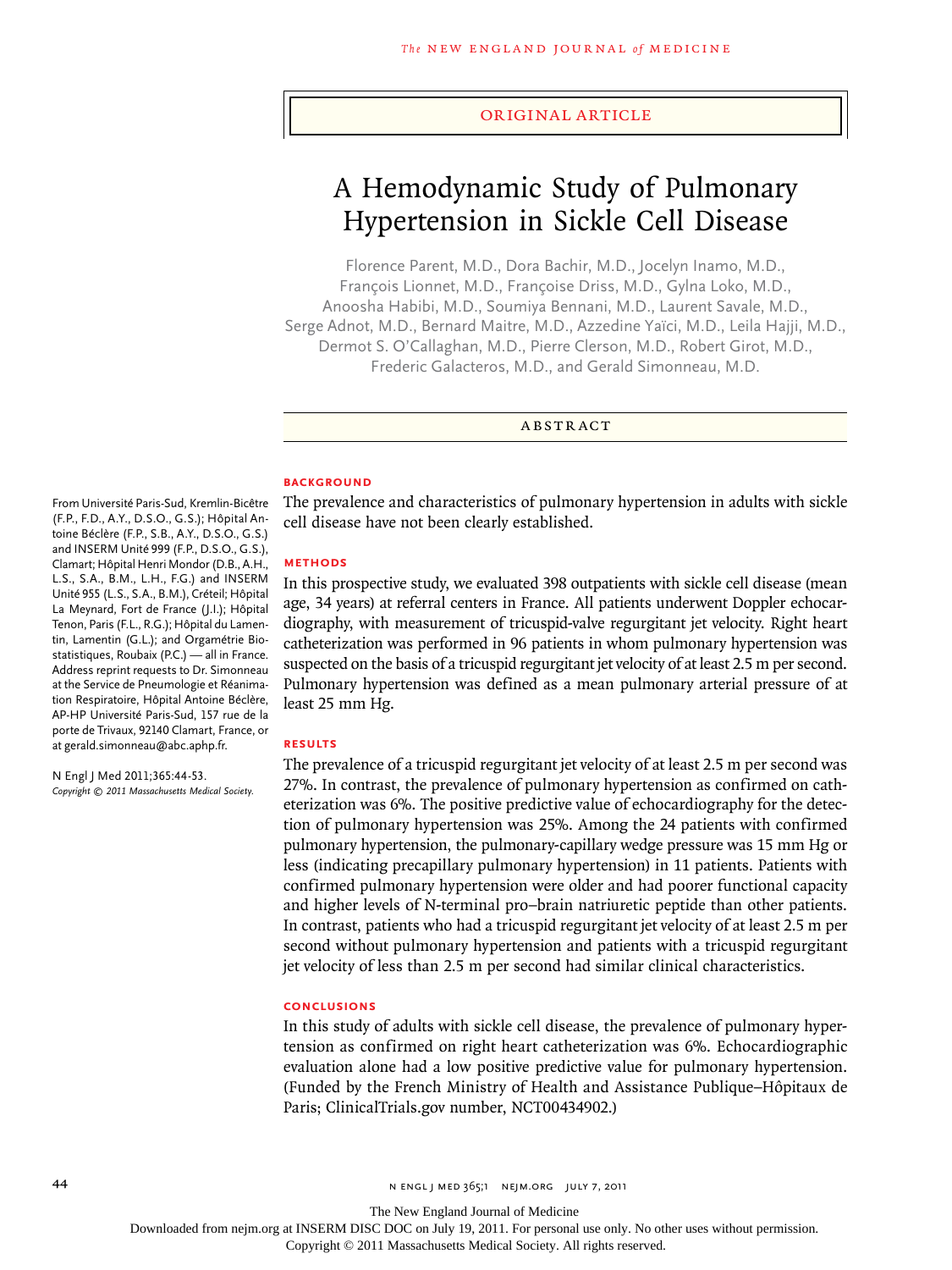#### original article

## A Hemodynamic Study of Pulmonary Hypertension in Sickle Cell Disease

Florence Parent, M.D., Dora Bachir, M.D., Jocelyn Inamo, M.D., François Lionnet, M.D., Françoise Driss, M.D., Gylna Loko, M.D., Anoosha Habibi, M.D., Soumiya Bennani, M.D., Laurent Savale, M.D., Serge Adnot, M.D., Bernard Maitre, M.D., Azzedine Yaïci, M.D., Leila Hajji, M.D., Dermot S. O'Callaghan, M.D., Pierre Clerson, M.D., Robert Girot, M.D., Frederic Galacteros, M.D., and Gerald Simonneau, M.D.

**ABSTRACT** 

#### **BACKGROUND**

The prevalence and characteristics of pulmonary hypertension in adults with sickle cell disease have not been clearly established.

#### **Methods**

In this prospective study, we evaluated 398 outpatients with sickle cell disease (mean age, 34 years) at referral centers in France. All patients underwent Doppler echocardiography, with measurement of tricuspid-valve regurgitant jet velocity. Right heart catheterization was performed in 96 patients in whom pulmonary hypertension was suspected on the basis of a tricuspid regurgitant jet velocity of at least 2.5 m per second. Pulmonary hypertension was defined as a mean pulmonary arterial pressure of at least 25 mm Hg.

#### **Results**

The prevalence of a tricuspid regurgitant jet velocity of at least 2.5 m per second was 27%. In contrast, the prevalence of pulmonary hypertension as confirmed on catheterization was 6%. The positive predictive value of echocardiography for the detection of pulmonary hypertension was 25%. Among the 24 patients with confirmed pulmonary hypertension, the pulmonary-capillary wedge pressure was 15 mm Hg or less (indicating precapillary pulmonary hypertension) in 11 patients. Patients with confirmed pulmonary hypertension were older and had poorer functional capacity and higher levels of N-terminal pro–brain natriuretic peptide than other patients. In contrast, patients who had a tricuspid regurgitant jet velocity of at least 2.5 m per second without pulmonary hypertension and patients with a tricuspid regurgitant jet velocity of less than 2.5 m per second had similar clinical characteristics.

## **Conclusions**

In this study of adults with sickle cell disease, the prevalence of pulmonary hypertension as confirmed on right heart catheterization was 6%. Echocardiographic evaluation alone had a low positive predictive value for pulmonary hypertension. (Funded by the French Ministry of Health and Assistance Publique–Hôpitaux de Paris; ClinicalTrials.gov number, NCT00434902.)

From Université Paris-Sud, Kremlin-Bicêtre (F.P., F.D., A.Y., D.S.O., G.S.); Hôpital Antoine Béclère (F.P., S.B., A.Y., D.S.O., G.S.) and INSERM Unité 999 (F.P., D.S.O., G.S.), Clamart; Hôpital Henri Mondor (D.B., A.H., L.S., S.A., B.M., L.H., F.G.) and INSERM Unité 955 (L.S., S.A., B.M.), Créteil; Hôpital La Meynard, Fort de France (J.I.); Hôpital Tenon, Paris (F.L., R.G.); Hôpital du Lamentin, Lamentin (G.L.); and Orgamétrie Biostatistiques, Roubaix (P.C.) — all in France. Address reprint requests to Dr. Simonneau at the Service de Pneumologie et Réanimation Respiratoire, Hôpital Antoine Béclère, AP-HP Université Paris-Sud, 157 rue de la porte de Trivaux, 92140 Clamart, France, or at gerald.simonneau@abc.aphp.fr.

N Engl J Med 2011;365:44-53. *Copyright © 2011 Massachusetts Medical Society.*

The New England Journal of Medicine

Downloaded from nejm.org at INSERM DISC DOC on July 19, 2011. For personal use only. No other uses without permission.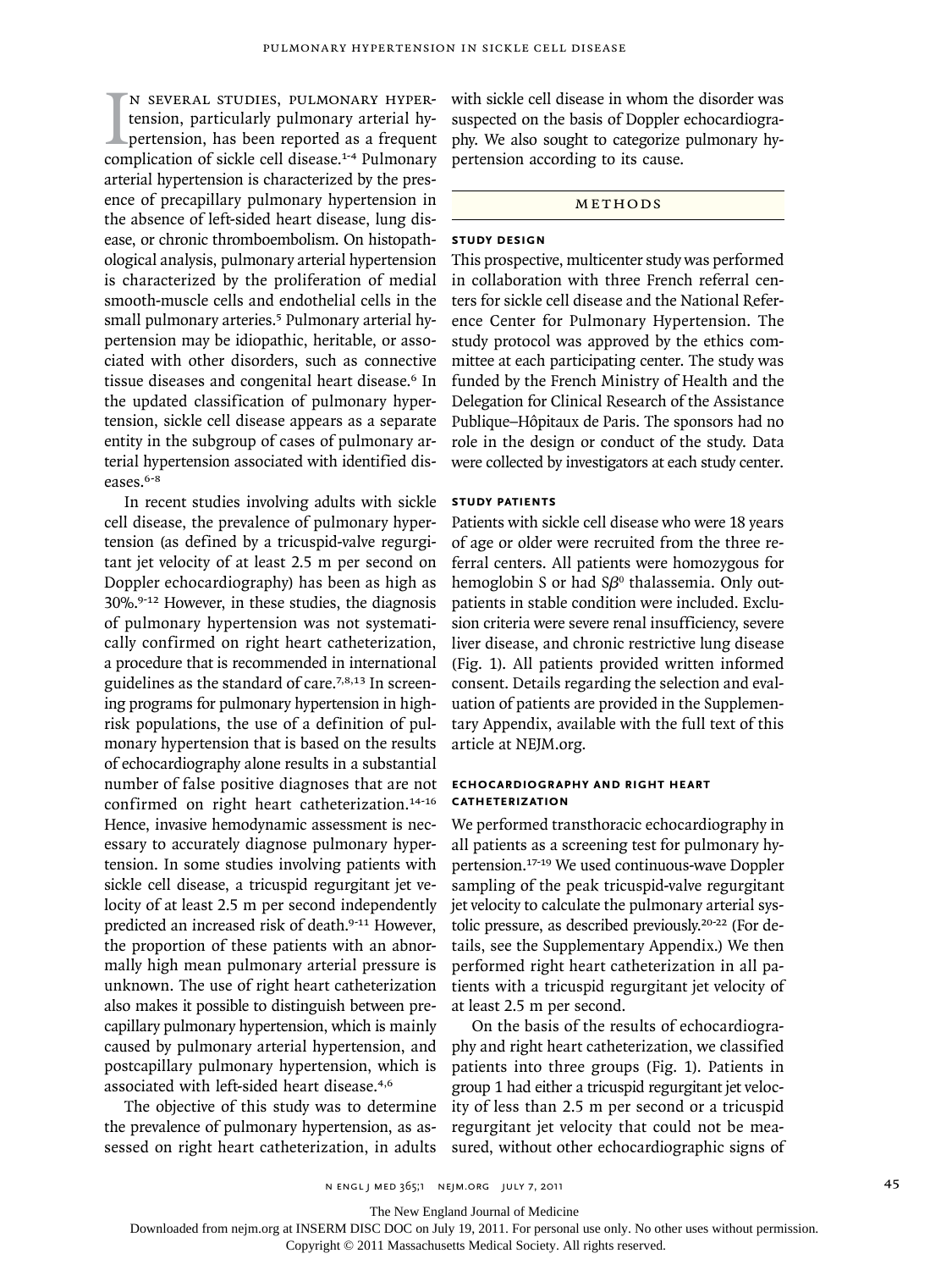I<br>com n several studies, pulmonary hypertension, particularly pulmonary arterial hypertension, has been reported as a frequent complication of sickle cell disease.<sup>1-4</sup> Pulmonary arterial hypertension is characterized by the presence of precapillary pulmonary hypertension in the absence of left-sided heart disease, lung disease, or chronic thromboembolism. On histopathological analysis, pulmonary arterial hypertension is characterized by the proliferation of medial smooth-muscle cells and endothelial cells in the small pulmonary arteries.<sup>5</sup> Pulmonary arterial hypertension may be idiopathic, heritable, or associated with other disorders, such as connective tissue diseases and congenital heart disease.6 In the updated classification of pulmonary hypertension, sickle cell disease appears as a separate entity in the subgroup of cases of pulmonary arterial hypertension associated with identified diseases.<sup>6-8</sup>

In recent studies involving adults with sickle cell disease, the prevalence of pulmonary hypertension (as defined by a tricuspid-valve regurgitant jet velocity of at least 2.5 m per second on Doppler echocardiography) has been as high as 30%.9-12 However, in these studies, the diagnosis of pulmonary hypertension was not systematically confirmed on right heart catheterization, a procedure that is recommended in international guidelines as the standard of care.7,8,13 In screening programs for pulmonary hypertension in highrisk populations, the use of a definition of pulmonary hypertension that is based on the results of echocardiography alone results in a substantial number of false positive diagnoses that are not confirmed on right heart catheterization.<sup>14-16</sup> Hence, invasive hemodynamic assessment is necessary to accurately diagnose pulmonary hypertension. In some studies involving patients with sickle cell disease, a tricuspid regurgitant jet velocity of at least 2.5 m per second independently predicted an increased risk of death.<sup>9-11</sup> However, the proportion of these patients with an abnormally high mean pulmonary arterial pressure is unknown. The use of right heart catheterization also makes it possible to distinguish between precapillary pulmonary hypertension, which is mainly caused by pulmonary arterial hypertension, and postcapillary pulmonary hypertension, which is associated with left-sided heart disease.4,6

The objective of this study was to determine the prevalence of pulmonary hypertension, as assessed on right heart catheterization, in adults

with sickle cell disease in whom the disorder was suspected on the basis of Doppler echocardiography. We also sought to categorize pulmonary hypertension according to its cause.

#### METHODS

## **Study Design**

This prospective, multicenter study was performed in collaboration with three French referral centers for sickle cell disease and the National Reference Center for Pulmonary Hypertension. The study protocol was approved by the ethics committee at each participating center. The study was funded by the French Ministry of Health and the Delegation for Clinical Research of the Assistance Publique–Hôpitaux de Paris. The sponsors had no role in the design or conduct of the study. Data were collected by investigators at each study center.

### **Study Patients**

Patients with sickle cell disease who were 18 years of age or older were recruited from the three referral centers. All patients were homozygous for hemoglobin S or had  $S\beta^0$  thalassemia. Only outpatients in stable condition were included. Exclusion criteria were severe renal insufficiency, severe liver disease, and chronic restrictive lung disease (Fig. 1). All patients provided written informed consent. Details regarding the selection and evaluation of patients are provided in the Supplementary Appendix, available with the full text of this article at NEJM.org.

## **Echocardiography and Right Heart Catheterization**

We performed transthoracic echocardiography in all patients as a screening test for pulmonary hypertension.17-19 We used continuous-wave Doppler sampling of the peak tricuspid-valve regurgitant jet velocity to calculate the pulmonary arterial systolic pressure, as described previously.20-22 (For details, see the Supplementary Appendix.) We then performed right heart catheterization in all patients with a tricuspid regurgitant jet velocity of at least 2.5 m per second.

On the basis of the results of echocardiography and right heart catheterization, we classified patients into three groups (Fig. 1). Patients in group 1 had either a tricuspid regurgitant jet velocity of less than 2.5 m per second or a tricuspid regurgitant jet velocity that could not be measured, without other echocardiographic signs of

n engl j med 365;1 nejm.org july 7, 2011 45

The New England Journal of Medicine

Downloaded from nejm.org at INSERM DISC DOC on July 19, 2011. For personal use only. No other uses without permission.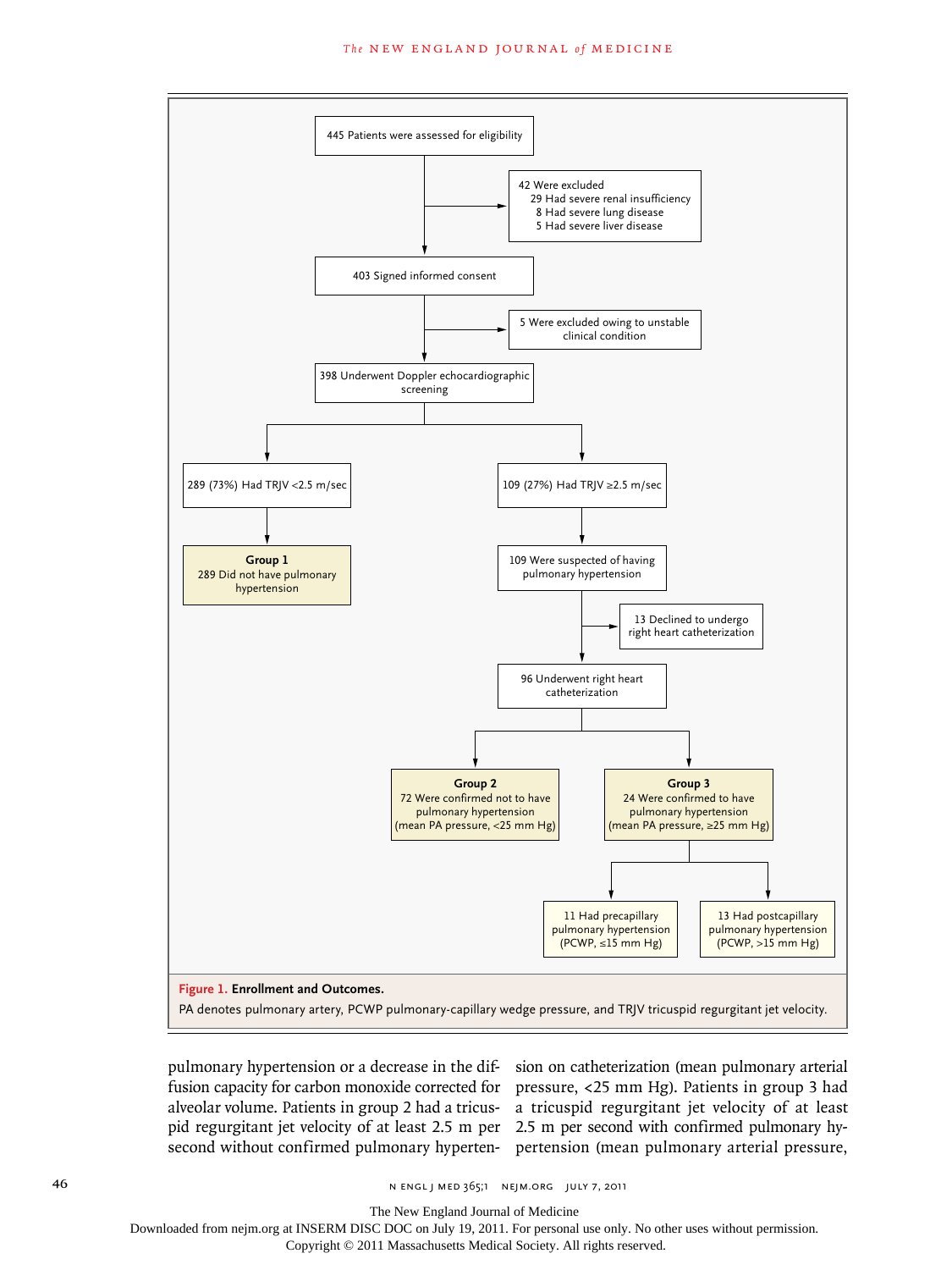#### The NEW ENGLAND JOURNAL of MEDICINE



pulmonary hypertension or a decrease in the dif-sion on catheterization (mean pulmonary arterial

fusion capacity for carbon monoxide corrected for pressure, <25 mm Hg). Patients in group 3 had alveolar volume. Patients in group 2 had a tricus-a tricuspid regurgitant jet velocity of at least pid regurgitant jet velocity of at least 2.5 m per 2.5 m per second with confirmed pulmonary hysecond without confirmed pulmonary hyperten-pertension (mean pulmonary arterial pressure,

The New England Journal of Medicine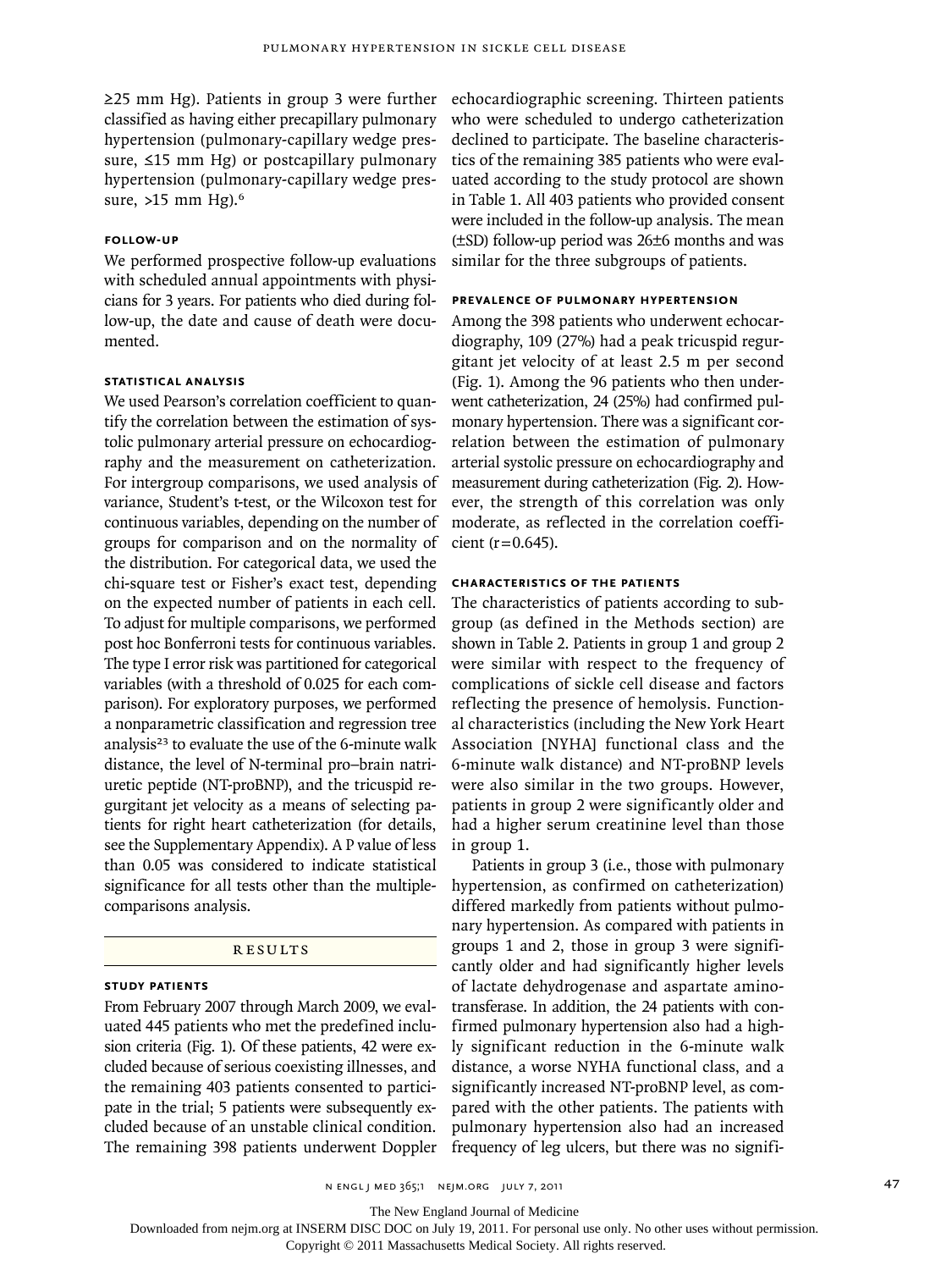≥25 mm Hg). Patients in group 3 were further classified as having either precapillary pulmonary hypertension (pulmonary-capillary wedge pressure, ≤15 mm Hg) or postcapillary pulmonary hypertension (pulmonary-capillary wedge pressure, >15 mm Hg).<sup>6</sup>

### **Follow-up**

We performed prospective follow-up evaluations with scheduled annual appointments with physicians for 3 years. For patients who died during follow-up, the date and cause of death were documented.

## **Statistical Analysis**

We used Pearson's correlation coefficient to quantify the correlation between the estimation of systolic pulmonary arterial pressure on echocardiography and the measurement on catheterization. For intergroup comparisons, we used analysis of variance, Student's t-test, or the Wilcoxon test for continuous variables, depending on the number of groups for comparison and on the normality of the distribution. For categorical data, we used the chi-square test or Fisher's exact test, depending on the expected number of patients in each cell. To adjust for multiple comparisons, we performed post hoc Bonferroni tests for continuous variables. The type I error risk was partitioned for categorical variables (with a threshold of 0.025 for each comparison). For exploratory purposes, we performed a nonparametric classification and regression tree analysis<sup>23</sup> to evaluate the use of the 6-minute walk distance, the level of N-terminal pro–brain natriuretic peptide (NT-proBNP), and the tricuspid regurgitant jet velocity as a means of selecting patients for right heart catheterization (for details, see the Supplementary Appendix). A P value of less than 0.05 was considered to indicate statistical significance for all tests other than the multiplecomparisons analysis.

## R esult s

#### **Study Patients**

From February 2007 through March 2009, we evaluated 445 patients who met the predefined inclusion criteria (Fig. 1). Of these patients, 42 were excluded because of serious coexisting illnesses, and the remaining 403 patients consented to participate in the trial; 5 patients were subsequently excluded because of an unstable clinical condition. The remaining 398 patients underwent Doppler echocardiographic screening. Thirteen patients who were scheduled to undergo catheterization declined to participate. The baseline characteristics of the remaining 385 patients who were evaluated according to the study protocol are shown in Table 1. All 403 patients who provided consent were included in the follow-up analysis. The mean (±SD) follow-up period was 26±6 months and was similar for the three subgroups of patients.

## **Prevalence of Pulmonary Hypertension**

Among the 398 patients who underwent echocardiography, 109 (27%) had a peak tricuspid regurgitant jet velocity of at least 2.5 m per second (Fig. 1). Among the 96 patients who then underwent catheterization, 24 (25%) had confirmed pulmonary hypertension. There was a significant correlation between the estimation of pulmonary arterial systolic pressure on echocardiography and measurement during catheterization (Fig. 2). However, the strength of this correlation was only moderate, as reflected in the correlation coefficient ( $r = 0.645$ ).

## **Characteristics of the Patients**

The characteristics of patients according to subgroup (as defined in the Methods section) are shown in Table 2. Patients in group 1 and group 2 were similar with respect to the frequency of complications of sickle cell disease and factors reflecting the presence of hemolysis. Functional characteristics (including the New York Heart Association [NYHA] functional class and the 6-minute walk distance) and NT-proBNP levels were also similar in the two groups. However, patients in group 2 were significantly older and had a higher serum creatinine level than those in group 1.

Patients in group 3 (i.e., those with pulmonary hypertension, as confirmed on catheterization) differed markedly from patients without pulmonary hypertension. As compared with patients in groups 1 and 2, those in group 3 were significantly older and had significantly higher levels of lactate dehydrogenase and aspartate aminotransferase. In addition, the 24 patients with confirmed pulmonary hypertension also had a highly significant reduction in the 6-minute walk distance, a worse NYHA functional class, and a significantly increased NT-proBNP level, as compared with the other patients. The patients with pulmonary hypertension also had an increased frequency of leg ulcers, but there was no signifi-

The New England Journal of Medicine

Downloaded from nejm.org at INSERM DISC DOC on July 19, 2011. For personal use only. No other uses without permission.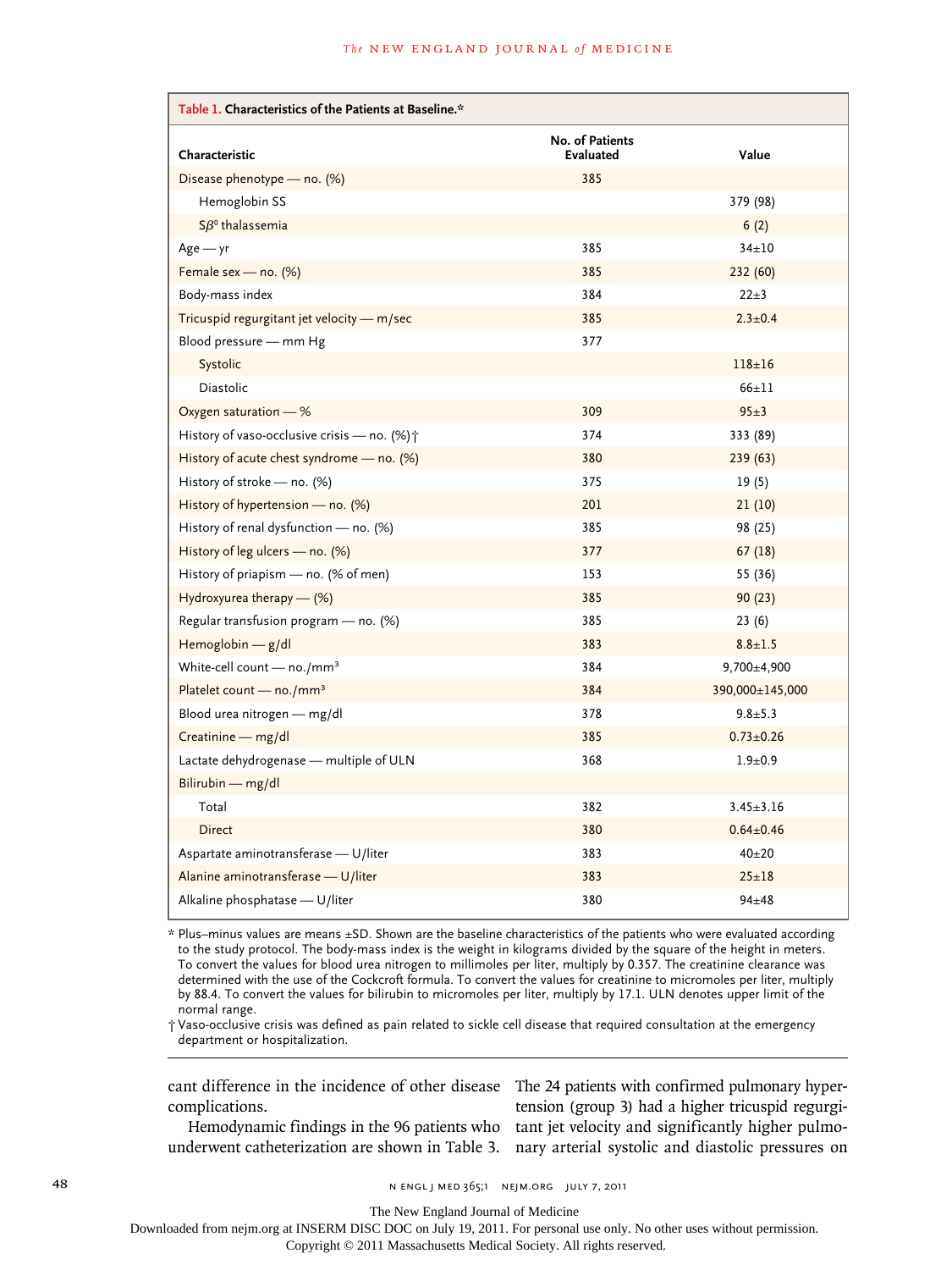| Table 1. Characteristics of the Patients at Baseline.*  |                                     |                 |  |  |  |  |
|---------------------------------------------------------|-------------------------------------|-----------------|--|--|--|--|
| Characteristic                                          | No. of Patients<br><b>Evaluated</b> | Value           |  |  |  |  |
| Disease phenotype — no. $(\%)$                          | 385                                 |                 |  |  |  |  |
| Hemoglobin SS                                           |                                     | 379 (98)        |  |  |  |  |
| $S\beta^0$ thalassemia                                  |                                     | 6(2)            |  |  |  |  |
| $Age - yr$                                              | 385                                 | $34 \pm 10$     |  |  |  |  |
| Female sex - no. (%)                                    | 385                                 | 232 (60)        |  |  |  |  |
| Body-mass index                                         | 384                                 | $22 + 3$        |  |  |  |  |
| Tricuspid regurgitant jet velocity - m/sec              | 385                                 | $2.3 \pm 0.4$   |  |  |  |  |
| Blood pressure - mm Hg                                  | 377                                 |                 |  |  |  |  |
| Systolic                                                |                                     | $118 + 16$      |  |  |  |  |
| Diastolic                                               |                                     | $66 + 11$       |  |  |  |  |
| Oxygen saturation - %                                   | 309                                 | $95+3$          |  |  |  |  |
| History of vaso-occlusive crisis - no. (%) <sup>+</sup> | 374                                 | 333 (89)        |  |  |  |  |
| History of acute chest syndrome $-$ no. (%)             | 380                                 | 239 (63)        |  |  |  |  |
| History of stroke $-$ no. (%)                           | 375                                 | 19(5)           |  |  |  |  |
| History of hypertension — no. $(\%)$                    | 201                                 | 21(10)          |  |  |  |  |
| History of renal dysfunction - no. (%)                  | 385                                 | 98 (25)         |  |  |  |  |
| History of leg ulcers $-$ no. (%)                       | 377                                 | 67(18)          |  |  |  |  |
| History of priapism - no. (% of men)                    | 153                                 | 55 (36)         |  |  |  |  |
| Hydroxyurea therapy - (%)                               | 385                                 | 90(23)          |  |  |  |  |
| Regular transfusion program - no. (%)                   | 385                                 | 23(6)           |  |  |  |  |
| Hemoglobin - g/dl                                       | 383                                 | $8.8 \pm 1.5$   |  |  |  |  |
| White-cell count $-$ no./mm <sup>3</sup>                | 384                                 | 9,700±4,900     |  |  |  |  |
| Platelet count - no./mm <sup>3</sup>                    | 384                                 | 390,000±145,000 |  |  |  |  |
| Blood urea nitrogen - mg/dl                             | 378                                 | $9.8 + 5.3$     |  |  |  |  |
| Creatinine - mg/dl                                      | 385                                 | $0.73 \pm 0.26$ |  |  |  |  |
| Lactate dehydrogenase - multiple of ULN                 | 368                                 | $1.9 + 0.9$     |  |  |  |  |
| Bilirubin - mg/dl                                       |                                     |                 |  |  |  |  |
| Total                                                   | 382                                 | $3.45 \pm 3.16$ |  |  |  |  |
| <b>Direct</b>                                           | 380                                 | $0.64 \pm 0.46$ |  |  |  |  |
| Aspartate aminotransferase - U/liter                    | 383                                 | $40 + 20$       |  |  |  |  |
| Alanine aminotransferase - U/liter                      | 383                                 | $25 + 18$       |  |  |  |  |
| Alkaline phosphatase - U/liter                          | 380                                 | $94 + 48$       |  |  |  |  |

\* Plus–minus values are means ±SD. Shown are the baseline characteristics of the patients who were evaluated according to the study protocol. The body-mass index is the weight in kilograms divided by the square of the height in meters. To convert the values for blood urea nitrogen to millimoles per liter, multiply by 0.357. The creatinine clearance was determined with the use of the Cockcroft formula. To convert the values for creatinine to micromoles per liter, multiply by 88.4. To convert the values for bilirubin to micromoles per liter, multiply by 17.1. ULN denotes upper limit of the normal range.

† Vaso-occlusive crisis was defined as pain related to sickle cell disease that required consultation at the emergency department or hospitalization.

cant difference in the incidence of other disease complications.

Hemodynamic findings in the 96 patients who underwent catheterization are shown in Table 3.

The 24 patients with confirmed pulmonary hypertension (group 3) had a higher tricuspid regurgitant jet velocity and significantly higher pulmonary arterial systolic and diastolic pressures on

The New England Journal of Medicine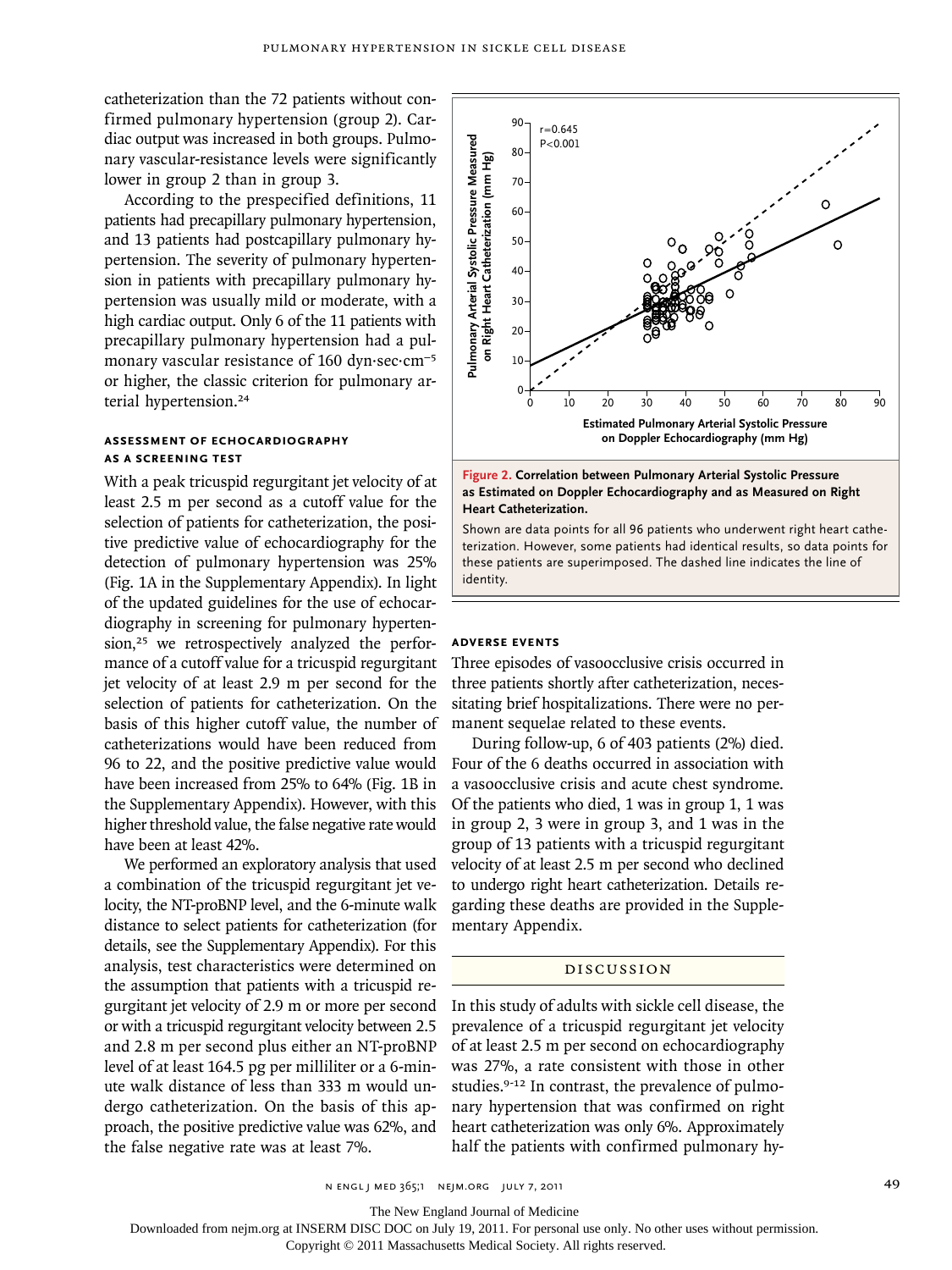catheterization than the 72 patients without confirmed pulmonary hypertension (group 2). Cardiac output was increased in both groups. Pulmonary vascular-resistance levels were significantly lower in group 2 than in group 3.

According to the prespecified definitions, 11 patients had precapillary pulmonary hypertension, and 13 patients had postcapillary pulmonary hypertension. The severity of pulmonary hypertension in patients with precapillary pulmonary hypertension was usually mild or moderate, with a high cardiac output. Only 6 of the 11 patients with precapillary pulmonary hypertension had a pulmonary vascular resistance of 160 dyn·sec·cm−5 or higher, the classic criterion for pulmonary arterial hypertension.<sup>24</sup>

## **Assessment of Echocardiography as a Screening Test**

With a peak tricuspid regurgitant jet velocity of at least 2.5 m per second as a cutoff value for the selection of patients for catheterization, the positive predictive value of echocardiography for the detection of pulmonary hypertension was 25% (Fig. 1A in the Supplementary Appendix). In light of the updated guidelines for the use of echocardiography in screening for pulmonary hypertension,<sup>25</sup> we retrospectively analyzed the performance of a cutoff value for a tricuspid regurgitant jet velocity of at least 2.9 m per second for the selection of patients for catheterization. On the basis of this higher cutoff value, the number of catheterizations would have been reduced from 96 to 22, and the positive predictive value would have been increased from 25% to 64% (Fig. 1B in the Supplementary Appendix). However, with this higher threshold value, the false negative rate would have been at least 42%.

We performed an exploratory analysis that used a combination of the tricuspid regurgitant jet velocity, the NT-proBNP level, and the 6-minute walk distance to select patients for catheterization (for details, see the Supplementary Appendix). For this analysis, test characteristics were determined on the assumption that patients with a tricuspid regurgitant jet velocity of 2.9 m or more per second or with a tricuspid regurgitant velocity between 2.5 and 2.8 m per second plus either an NT-proBNP level of at least 164.5 pg per milliliter or a 6-minute walk distance of less than 333 m would undergo catheterization. On the basis of this approach, the positive predictive value was 62%, and the false negative rate was at least 7%.



#### **Figure 2. Correlation between Pulmonary Arterial Systolic Pressure as Estimated on Doppler Echocardiography and as Measured on Right Heart Catheterization.**

Shown are data points for all 96 patients who underwent right heart catheterization. However, some patients had identical results, so data points for these patients are superimposed. The dashed line indicates the line of identity.

## **Adverse Events**

Three episodes of vasoocclusive crisis occurred in three patients shortly after catheterization, necessitating brief hospitalizations. There were no permanent sequelae related to these events.

During follow-up, 6 of 403 patients (2%) died. Four of the 6 deaths occurred in association with a vasoocclusive crisis and acute chest syndrome. Of the patients who died, 1 was in group 1, 1 was in group 2, 3 were in group 3, and 1 was in the group of 13 patients with a tricuspid regurgitant velocity of at least 2.5 m per second who declined to undergo right heart catheterization. Details regarding these deaths are provided in the Supplementary Appendix.

#### Discussion

In this study of adults with sickle cell disease, the prevalence of a tricuspid regurgitant jet velocity of at least 2.5 m per second on echocardiography was 27%, a rate consistent with those in other studies.9-12 In contrast, the prevalence of pulmonary hypertension that was confirmed on right heart catheterization was only 6%. Approximately

n engl j med 365;1 nejm.org july 7, 2011 49

The New England Journal of Medicine

Downloaded from nejm.org at INSERM DISC DOC on July 19, 2011. For personal use only. No other uses without permission.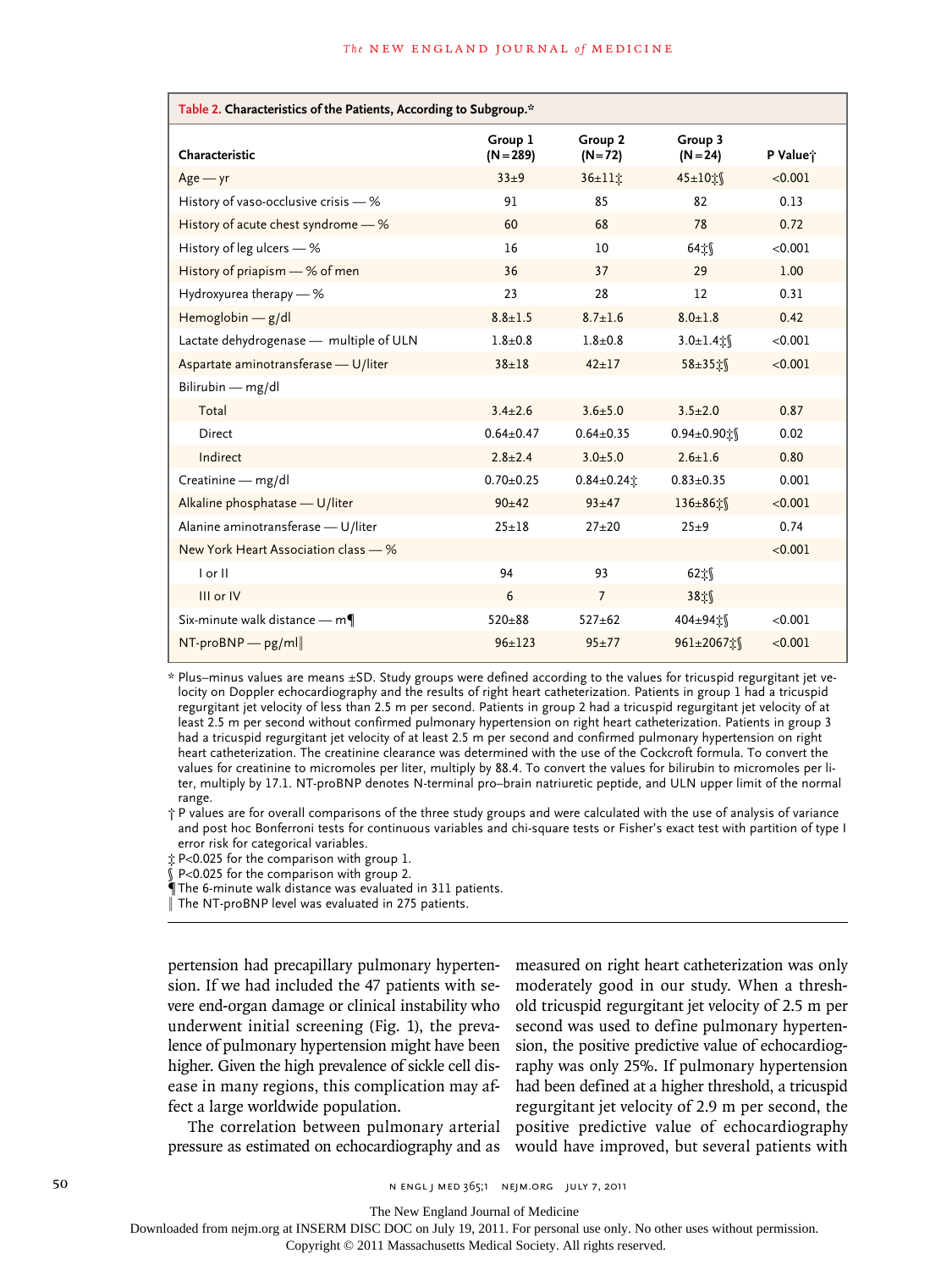| Table 2. Characteristics of the Patients, According to Subgroup.* |                        |                     |                       |          |  |  |  |
|-------------------------------------------------------------------|------------------------|---------------------|-----------------------|----------|--|--|--|
| Characteristic                                                    | Group 1<br>$(N = 289)$ | Group 2<br>$(N=72)$ | Group 3<br>$(N = 24)$ | P Value; |  |  |  |
| $Age - yr$                                                        | $33 + 9$               | 36±11立              | 45±10☆                | < 0.001  |  |  |  |
| History of vaso-occlusive crisis - %                              | 91                     | 85<br>82            |                       | 0.13     |  |  |  |
| History of acute chest syndrome - %                               | 60                     | 68<br>78            |                       | 0.72     |  |  |  |
| History of leg ulcers $-$ %                                       | 16                     | 10                  | 64立                   | < 0.001  |  |  |  |
| History of priapism - % of men                                    | 36                     | 37                  | 29                    | 1.00     |  |  |  |
| Hydroxyurea therapy - %                                           | 23                     | 28                  | 12                    | 0.31     |  |  |  |
| Hemoglobin $-$ g/dl                                               | $8.8 \pm 1.5$          | $8.7 \pm 1.6$       | $8.0 + 1.8$           | 0.42     |  |  |  |
| Lactate dehydrogenase - multiple of ULN                           | $1.8 + 0.8$            | $1.8 + 0.8$         | $3.0 \pm 1.4$ :       | < 0.001  |  |  |  |
| Aspartate aminotransferase - U/liter                              | $38 + 18$              | $42 \pm 17$         | 58±35‡∫               | < 0.001  |  |  |  |
| Bilirubin - mg/dl                                                 |                        |                     |                       |          |  |  |  |
| Total                                                             | $3.4 \pm 2.6$          | $3.6 + 5.0$         | $3.5 \pm 2.0$         | 0.87     |  |  |  |
| Direct                                                            | $0.64 \pm 0.47$        | $0.64 \pm 0.35$     | 0.94±0.90式            | 0.02     |  |  |  |
| Indirect                                                          | $2.8 \pm 2.4$          | $3.0 + 5.0$         | $2.6 \pm 1.6$         | 0.80     |  |  |  |
| Creatinine - mg/dl                                                | $0.70 \pm 0.25$        | $0.84 \pm 0.24$     | $0.83 \pm 0.35$       | 0.001    |  |  |  |
| Alkaline phosphatase - U/liter                                    | $90+42$                | $93 + 47$           | 136±86±∫              | < 0.001  |  |  |  |
| Alanine aminotransferase - U/liter                                | $25 + 18$              | $27 + 20$           | $25\pm9$              | 0.74     |  |  |  |
| New York Heart Association class - %                              |                        |                     |                       | < 0.001  |  |  |  |
| I or II                                                           | 94                     | 93                  | 62‡∫                  |          |  |  |  |
| III or IV                                                         | 6                      | $\overline{7}$      | 38式                   |          |  |  |  |
| Six-minute walk distance $-m\P$                                   | $520 + 88$             | $527 + 62$          | 404±94让               | < 0.001  |  |  |  |
| $NT-proBNP$ pg/ml                                                 | $96 \pm 123$           | $95 + 77$           | 961±2067☆             | < 0.001  |  |  |  |

\* Plus–minus values are means ±SD. Study groups were defined according to the values for tricuspid regurgitant jet velocity on Doppler echocardiography and the results of right heart catheterization. Patients in group 1 had a tricuspid regurgitant jet velocity of less than 2.5 m per second. Patients in group 2 had a tricuspid regurgitant jet velocity of at least 2.5 m per second without confirmed pulmonary hypertension on right heart catheterization. Patients in group 3 had a tricuspid regurgitant jet velocity of at least 2.5 m per second and confirmed pulmonary hypertension on right heart catheterization. The creatinine clearance was determined with the use of the Cockcroft formula. To convert the values for creatinine to micromoles per liter, multiply by 88.4. To convert the values for bilirubin to micromoles per liter, multiply by 17.1. NT-proBNP denotes N-terminal pro–brain natriuretic peptide, and ULN upper limit of the normal range.

† P values are for overall comparisons of the three study groups and were calculated with the use of analysis of variance and post hoc Bonferroni tests for continuous variables and chi-square tests or Fisher's exact test with partition of type I error risk for categorical variables.

‡ P<0.025 for the comparison with group 1.

§ P<0.025 for the comparison with group 2.

¶The 6-minute walk distance was evaluated in 311 patients.

‖ The NT-proBNP level was evaluated in 275 patients.

pertension had precapillary pulmonary hypertension. If we had included the 47 patients with severe end-organ damage or clinical instability who underwent initial screening (Fig. 1), the prevalence of pulmonary hypertension might have been higher. Given the high prevalence of sickle cell disease in many regions, this complication may affect a large worldwide population.

The correlation between pulmonary arterial pressure as estimated on echocardiography and as

measured on right heart catheterization was only moderately good in our study. When a threshold tricuspid regurgitant jet velocity of 2.5 m per second was used to define pulmonary hypertension, the positive predictive value of echocardiography was only 25%. If pulmonary hypertension had been defined at a higher threshold, a tricuspid regurgitant jet velocity of 2.9 m per second, the positive predictive value of echocardiography would have improved, but several patients with

50 **N ENGL J MED 365;1 NEIM.ORG JULY 7, 2011** 

The New England Journal of Medicine

Downloaded from nejm.org at INSERM DISC DOC on July 19, 2011. For personal use only. No other uses without permission.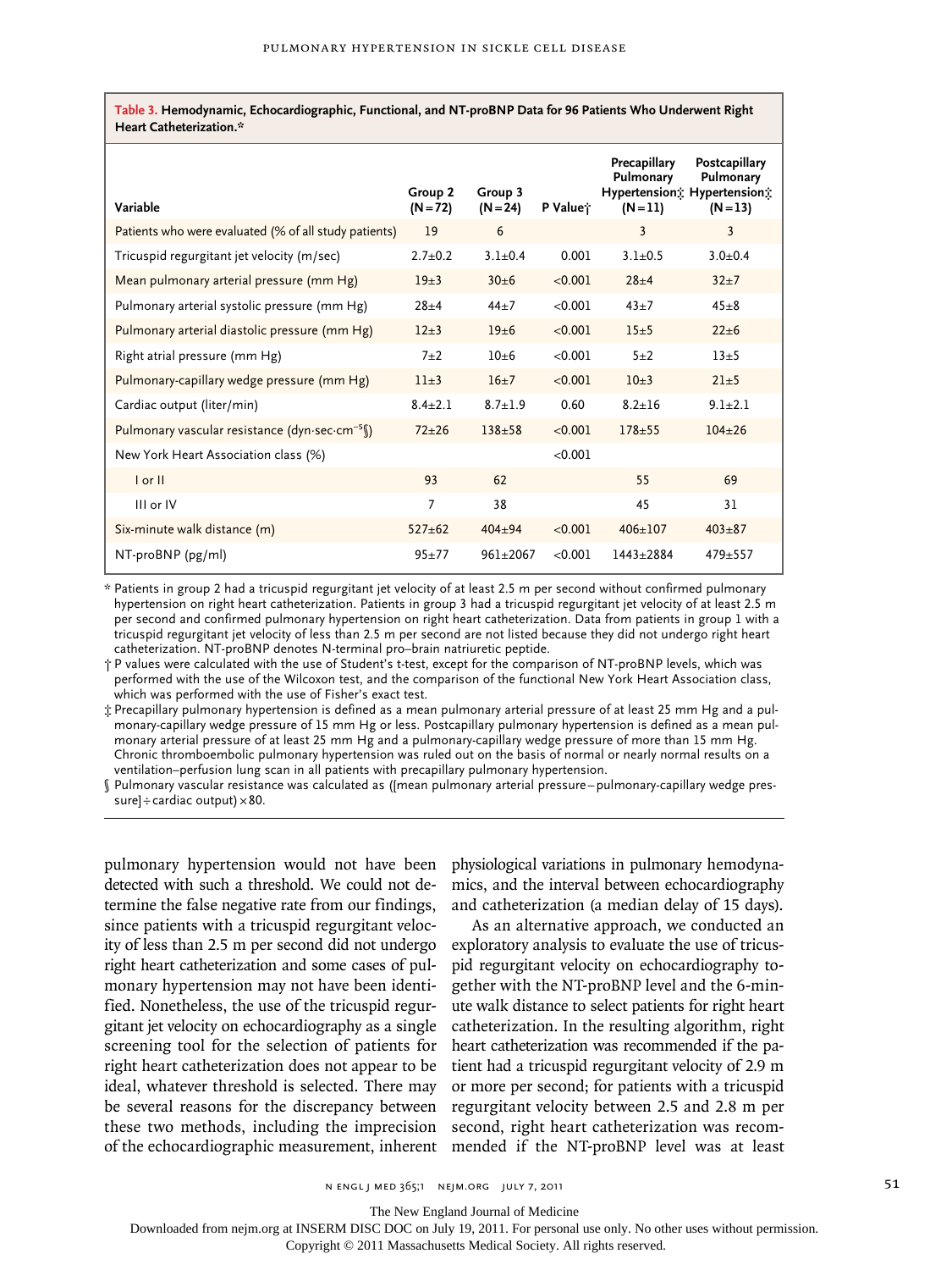**Table 3. Hemodynamic, Echocardiographic, Functional, and NT-proBNP Data for 96 Patients Who Underwent Right Heart Catheterization.\***

| Variable                                                  | Group 2<br>$(N = 72)$ | Group 3<br>$(N = 24)$ | P Value <sup>*</sup> | Precapillary<br>Pulmonary<br>$(N=11)$ | Postcapillary<br>Pulmonary<br>Hypertension; Hypertension;<br>$(N = 13)$ |
|-----------------------------------------------------------|-----------------------|-----------------------|----------------------|---------------------------------------|-------------------------------------------------------------------------|
| Patients who were evaluated (% of all study patients)     | 19                    | 6                     |                      | 3                                     | 3                                                                       |
| Tricuspid regurgitant jet velocity (m/sec)                | $2.7+0.2$             | $3.1 + 0.4$           | 0.001                | $3.1 + 0.5$                           | $3.0 + 0.4$                                                             |
| Mean pulmonary arterial pressure (mm Hg)                  | $19 + 3$              | $30+6$                | < 0.001              | $28 + 4$                              | $32 + 7$                                                                |
| Pulmonary arterial systolic pressure (mm Hg)              | $28 + 4$              | $44+7$                | < 0.001              | $43 + 7$                              | $45 + 8$                                                                |
| Pulmonary arterial diastolic pressure (mm Hg)             | $12 + 3$              | $19 + 6$              | < 0.001              | $15+5$                                | $22 + 6$                                                                |
| Right atrial pressure (mm Hg)                             | $7 + 2$               | $10+6$                | < 0.001              | $5 + 2$                               | $13\pm5$                                                                |
| Pulmonary-capillary wedge pressure (mm Hg)                | $11+3$                | $16+7$                | < 0.001              | $10+3$                                | $21+5$                                                                  |
| Cardiac output (liter/min)                                | $8.4 \pm 2.1$         | $8.7 + 1.9$           | 0.60                 | $8.2 + 16$                            | $9.1 + 2.1$                                                             |
| Pulmonary vascular resistance (dyn-sec-cm <sup>-5</sup> ) | $72 + 26$             | $138 + 58$            | < 0.001              | $178 + 55$                            | $104 + 26$                                                              |
| New York Heart Association class (%)                      |                       |                       | < 0.001              |                                       |                                                                         |
| $I$ or $II$                                               | 93                    | 62                    |                      | 55                                    | 69                                                                      |
| III or IV                                                 | 7                     | 38                    |                      | 45                                    | 31                                                                      |
| Six-minute walk distance (m)                              | $527 + 62$            | $404 + 94$            | < 0.001              | $406 + 107$                           | $403 + 87$                                                              |
| $NT-proBNP$ ( $pg/ml$ )                                   | $95 + 77$             | $961 + 2067$          | < 0.001              | $1443 + 2884$                         | $479 + 557$                                                             |

\* Patients in group 2 had a tricuspid regurgitant jet velocity of at least 2.5 m per second without confirmed pulmonary hypertension on right heart catheterization. Patients in group 3 had a tricuspid regurgitant jet velocity of at least 2.5 m per second and confirmed pulmonary hypertension on right heart catheterization. Data from patients in group 1 with a tricuspid regurgitant jet velocity of less than 2.5 m per second are not listed because they did not undergo right heart catheterization. NT-proBNP denotes N-terminal pro–brain natriuretic peptide.

† P values were calculated with the use of Student's t-test, except for the comparison of NT-proBNP levels, which was performed with the use of the Wilcoxon test, and the comparison of the functional New York Heart Association class, which was performed with the use of Fisher's exact test.

‡ Precapillary pulmonary hypertension is defined as a mean pulmonary arterial pressure of at least 25 mm Hg and a pulmonary-capillary wedge pressure of 15 mm Hg or less. Postcapillary pulmonary hypertension is defined as a mean pulmonary arterial pressure of at least 25 mm Hg and a pulmonary-capillary wedge pressure of more than 15 mm Hg. Chronic thromboembolic pulmonary hypertension was ruled out on the basis of normal or nearly normal results on a ventilation–perfusion lung scan in all patients with precapillary pulmonary hypertension.

§ Pulmonary vascular resistance was calculated as ([mean pulmonary arterial pressure–pulmonary-capillary wedge pressure] $\div$ cardiac output)  $\times 80$ .

detected with such a threshold. We could not determine the false negative rate from our findings, since patients with a tricuspid regurgitant velocity of less than 2.5 m per second did not undergo right heart catheterization and some cases of pulmonary hypertension may not have been identified. Nonetheless, the use of the tricuspid regurgitant jet velocity on echocardiography as a single screening tool for the selection of patients for right heart catheterization does not appear to be ideal, whatever threshold is selected. There may be several reasons for the discrepancy between these two methods, including the imprecision of the echocardiographic measurement, inherent mended if the NT-proBNP level was at least

pulmonary hypertension would not have been physiological variations in pulmonary hemodynamics, and the interval between echocardiography and catheterization (a median delay of 15 days).

> As an alternative approach, we conducted an exploratory analysis to evaluate the use of tricuspid regurgitant velocity on echocardiography together with the NT-proBNP level and the 6-minute walk distance to select patients for right heart catheterization. In the resulting algorithm, right heart catheterization was recommended if the patient had a tricuspid regurgitant velocity of 2.9 m or more per second; for patients with a tricuspid regurgitant velocity between 2.5 and 2.8 m per second, right heart catheterization was recom-

 $N$  engl j med 365;1 nejm.org july 7, 2011 51

The New England Journal of Medicine

Downloaded from nejm.org at INSERM DISC DOC on July 19, 2011. For personal use only. No other uses without permission.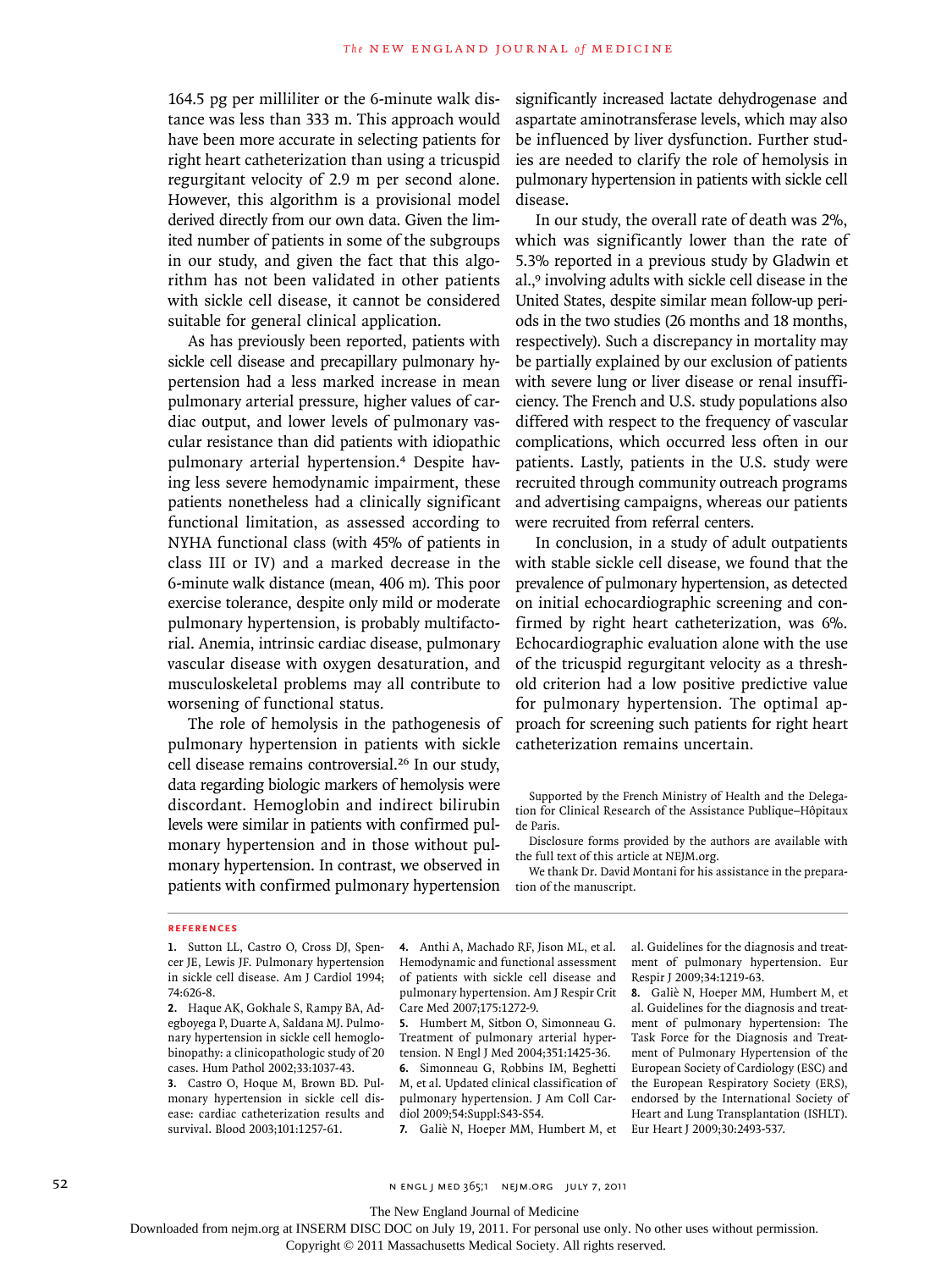164.5 pg per milliliter or the 6-minute walk distance was less than 333 m. This approach would have been more accurate in selecting patients for right heart catheterization than using a tricuspid regurgitant velocity of 2.9 m per second alone. However, this algorithm is a provisional model derived directly from our own data. Given the limited number of patients in some of the subgroups in our study, and given the fact that this algorithm has not been validated in other patients with sickle cell disease, it cannot be considered suitable for general clinical application.

As has previously been reported, patients with sickle cell disease and precapillary pulmonary hypertension had a less marked increase in mean pulmonary arterial pressure, higher values of cardiac output, and lower levels of pulmonary vascular resistance than did patients with idiopathic pulmonary arterial hypertension.4 Despite having less severe hemodynamic impairment, these patients nonetheless had a clinically significant functional limitation, as assessed according to NYHA functional class (with 45% of patients in class III or IV) and a marked decrease in the 6-minute walk distance (mean, 406 m). This poor exercise tolerance, despite only mild or moderate pulmonary hypertension, is probably multifactorial. Anemia, intrinsic cardiac disease, pulmonary vascular disease with oxygen desaturation, and musculoskeletal problems may all contribute to worsening of functional status.

The role of hemolysis in the pathogenesis of pulmonary hypertension in patients with sickle cell disease remains controversial.<sup>26</sup> In our study, data regarding biologic markers of hemolysis were discordant. Hemoglobin and indirect bilirubin levels were similar in patients with confirmed pulmonary hypertension and in those without pulmonary hypertension. In contrast, we observed in patients with confirmed pulmonary hypertension significantly increased lactate dehydrogenase and aspartate aminotransferase levels, which may also be influenced by liver dysfunction. Further studies are needed to clarify the role of hemolysis in pulmonary hypertension in patients with sickle cell disease.

In our study, the overall rate of death was 2%, which was significantly lower than the rate of 5.3% reported in a previous study by Gladwin et al.,9 involving adults with sickle cell disease in the United States, despite similar mean follow-up periods in the two studies (26 months and 18 months, respectively). Such a discrepancy in mortality may be partially explained by our exclusion of patients with severe lung or liver disease or renal insufficiency. The French and U.S. study populations also differed with respect to the frequency of vascular complications, which occurred less often in our patients. Lastly, patients in the U.S. study were recruited through community outreach programs and advertising campaigns, whereas our patients were recruited from referral centers.

In conclusion, in a study of adult outpatients with stable sickle cell disease, we found that the prevalence of pulmonary hypertension, as detected on initial echocardiographic screening and confirmed by right heart catheterization, was 6%. Echocardiographic evaluation alone with the use of the tricuspid regurgitant velocity as a threshold criterion had a low positive predictive value for pulmonary hypertension. The optimal approach for screening such patients for right heart catheterization remains uncertain.

Supported by the French Ministry of Health and the Delegation for Clinical Research of the Assistance Publique–Hôpitaux de Paris.

Disclosure forms provided by the authors are available with the full text of this article at NEJM.org.

We thank Dr. David Montani for his assistance in the preparation of the manuscript.

#### **References**

**3.** Castro O, Hoque M, Brown BD. Pulmonary hypertension in sickle cell disease: cardiac catheterization results and survival. Blood 2003;101:1257-61.

**4.** Anthi A, Machado RF, Jison ML, et al. Hemodynamic and functional assessment of patients with sickle cell disease and pulmonary hypertension. Am J Respir Crit Care Med 2007;175:1272-9.

**5.** Humbert M, Sitbon O, Simonneau G. Treatment of pulmonary arterial hypertension. N Engl J Med 2004;351:1425-36. **6.** Simonneau G, Robbins IM, Beghetti M, et al. Updated clinical classification of pulmonary hypertension. J Am Coll Cardiol 2009;54:Suppl:S43-S54.

**7.** Galiè N, Hoeper MM, Humbert M, et

al. Guidelines for the diagnosis and treatment of pulmonary hypertension. Eur Respir J 2009;34:1219-63.

**8.** Galiè N, Hoeper MM, Humbert M, et al. Guidelines for the diagnosis and treatment of pulmonary hypertension: The Task Force for the Diagnosis and Treatment of Pulmonary Hypertension of the European Society of Cardiology (ESC) and the European Respiratory Society (ERS), endorsed by the International Society of Heart and Lung Transplantation (ISHLT). Eur Heart J 2009;30:2493-537.

52 N ENGL J MED 365;1 NEIM.ORG JULY 7, 2011

The New England Journal of Medicine

Downloaded from nejm.org at INSERM DISC DOC on July 19, 2011. For personal use only. No other uses without permission.

**<sup>1.</sup>** Sutton LL, Castro O, Cross DJ, Spencer JE, Lewis JF. Pulmonary hypertension in sickle cell disease. Am J Cardiol 1994; 74:626-8.

**<sup>2.</sup>** Haque AK, Gokhale S, Rampy BA, Adegboyega P, Duarte A, Saldana MJ. Pulmonary hypertension in sickle cell hemoglobinopathy: a clinicopathologic study of 20 cases. Hum Pathol 2002;33:1037-43.